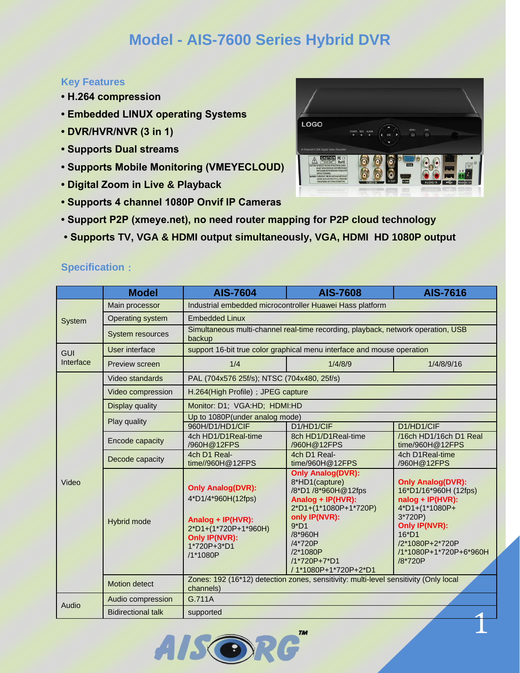## **Model - AIS-7600 Series Hybrid DVR**

## **Key Features**

- **H.264 compression**
- **Embedded LINUX operating Systems**
- **DVR/HVR/NVR (3 in 1)**
- **Supports Dual streams**
- **Supports Mobile Monitoring (VMEYECLOUD)**
- **Digital Zoom in Live & Playback**
- **Supports 4 channel 1080P Onvif IP Cameras**
- **Support P2P (xmeye.net), no need router mapping for P2P cloud technology**
- **Supports TV, VGA & HDMI output simultaneously, VGA, HDMI HD 1080P output**

## **Specification**:

|                         | <b>Model</b>              | <b>AIS-7604</b>                                                                                                                         | <b>AIS-7608</b>                                                                                                                                                                                                      | <b>AIS-7616</b>                                                                                                                                                                        |  |
|-------------------------|---------------------------|-----------------------------------------------------------------------------------------------------------------------------------------|----------------------------------------------------------------------------------------------------------------------------------------------------------------------------------------------------------------------|----------------------------------------------------------------------------------------------------------------------------------------------------------------------------------------|--|
| System                  | Main processor            | Industrial embedded microcontroller Huawei Hass platform                                                                                |                                                                                                                                                                                                                      |                                                                                                                                                                                        |  |
|                         | Operating system          | <b>Embedded Linux</b>                                                                                                                   |                                                                                                                                                                                                                      |                                                                                                                                                                                        |  |
|                         | <b>System resources</b>   | Simultaneous multi-channel real-time recording, playback, network operation, USB<br>backup                                              |                                                                                                                                                                                                                      |                                                                                                                                                                                        |  |
| <b>GUI</b><br>Interface | User interface            | support 16-bit true color graphical menu interface and mouse operation                                                                  |                                                                                                                                                                                                                      |                                                                                                                                                                                        |  |
|                         | Preview screen            | 1/4                                                                                                                                     | 1/4/8/9                                                                                                                                                                                                              | 1/4/8/9/16                                                                                                                                                                             |  |
| Video                   | Video standards           | PAL (704x576 25f/s); NTSC (704x480, 25f/s)                                                                                              |                                                                                                                                                                                                                      |                                                                                                                                                                                        |  |
|                         | Video compression         | H.264(High Profile); JPEG capture                                                                                                       |                                                                                                                                                                                                                      |                                                                                                                                                                                        |  |
|                         | <b>Display quality</b>    | Monitor: D1; VGA:HD; HDMI:HD                                                                                                            |                                                                                                                                                                                                                      |                                                                                                                                                                                        |  |
|                         | Play quality              | Up to 1080P(under analog mode)                                                                                                          |                                                                                                                                                                                                                      |                                                                                                                                                                                        |  |
|                         |                           | 960H/D1/HD1/CIF                                                                                                                         | D1/HD1/CIF                                                                                                                                                                                                           | D1/HD1/CIF                                                                                                                                                                             |  |
|                         | Encode capacity           | 4ch HD1/D1Real-time<br>/960H@12FPS                                                                                                      | 8ch HD1/D1Real-time<br>/960H@12FPS                                                                                                                                                                                   | /16ch HD1/16ch D1 Real<br>time/960H@12FPS                                                                                                                                              |  |
|                         | Decode capacity           | 4ch D1 Real-<br>time//960H@12FPS                                                                                                        | 4ch D1 Real-<br>time/960H@12FPS                                                                                                                                                                                      | 4ch D1Real-time<br>/960H@12FPS                                                                                                                                                         |  |
|                         | Hybrid mode               | <b>Only Analog(DVR):</b><br>4*D1/4*960H(12fps)<br>Analog + IP(HVR):<br>2*D1+(1*720P+1*960H)<br>Only IP(NVR):<br>1*720P+3*D1<br>/1*1080P | <b>Only Analog(DVR):</b><br>8*HD1(capture)<br>/8*D1 /8*960H@12fps<br>Analog + IP(HVR):<br>2*D1+(1*1080P+1*720P)<br>only IP(NVR):<br>$9*D1$<br>/8*960H<br>/4*720P<br>/2*1080P<br>/1*720P+7*D1<br>/1*1080P+1*720P+2*D1 | <b>Only Analog(DVR):</b><br>16*D1/16*960H (12fps)<br>nalog + IP(HVR):<br>4*D1+(1*1080P+<br>3*720P)<br>Only IP(NVR):<br>$16*D1$<br>/2*1080P+2*720P<br>/1*1080P+1*720P+6*960H<br>/8*720P |  |
|                         | <b>Motion detect</b>      | Zones: 192 (16*12) detection zones, sensitivity: multi-level sensitivity (Only local<br>channels)                                       |                                                                                                                                                                                                                      |                                                                                                                                                                                        |  |
| Audio                   | Audio compression         | G.711A                                                                                                                                  |                                                                                                                                                                                                                      |                                                                                                                                                                                        |  |
|                         | <b>Bidirectional talk</b> | supported                                                                                                                               |                                                                                                                                                                                                                      |                                                                                                                                                                                        |  |
|                         |                           |                                                                                                                                         | <b>TM</b>                                                                                                                                                                                                            |                                                                                                                                                                                        |  |